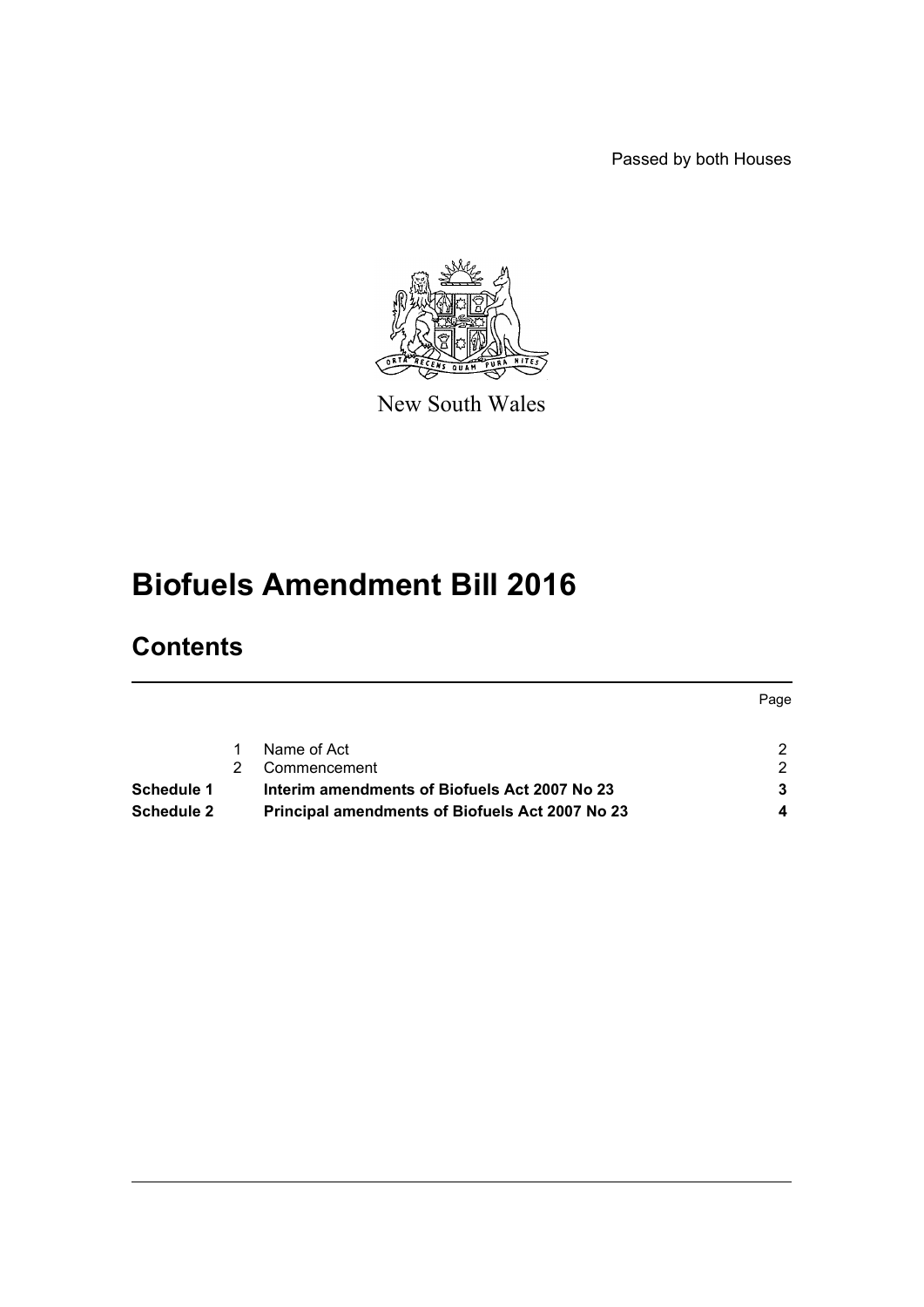Passed by both Houses



New South Wales

# **Biofuels Amendment Bill 2016**

# **Contents**

|                   |   |                                                        | Page |
|-------------------|---|--------------------------------------------------------|------|
|                   |   | Name of Act                                            | ົ    |
|                   | 2 | Commencement                                           | っ    |
| <b>Schedule 1</b> |   | Interim amendments of Biofuels Act 2007 No 23          |      |
| Schedule 2        |   | <b>Principal amendments of Biofuels Act 2007 No 23</b> |      |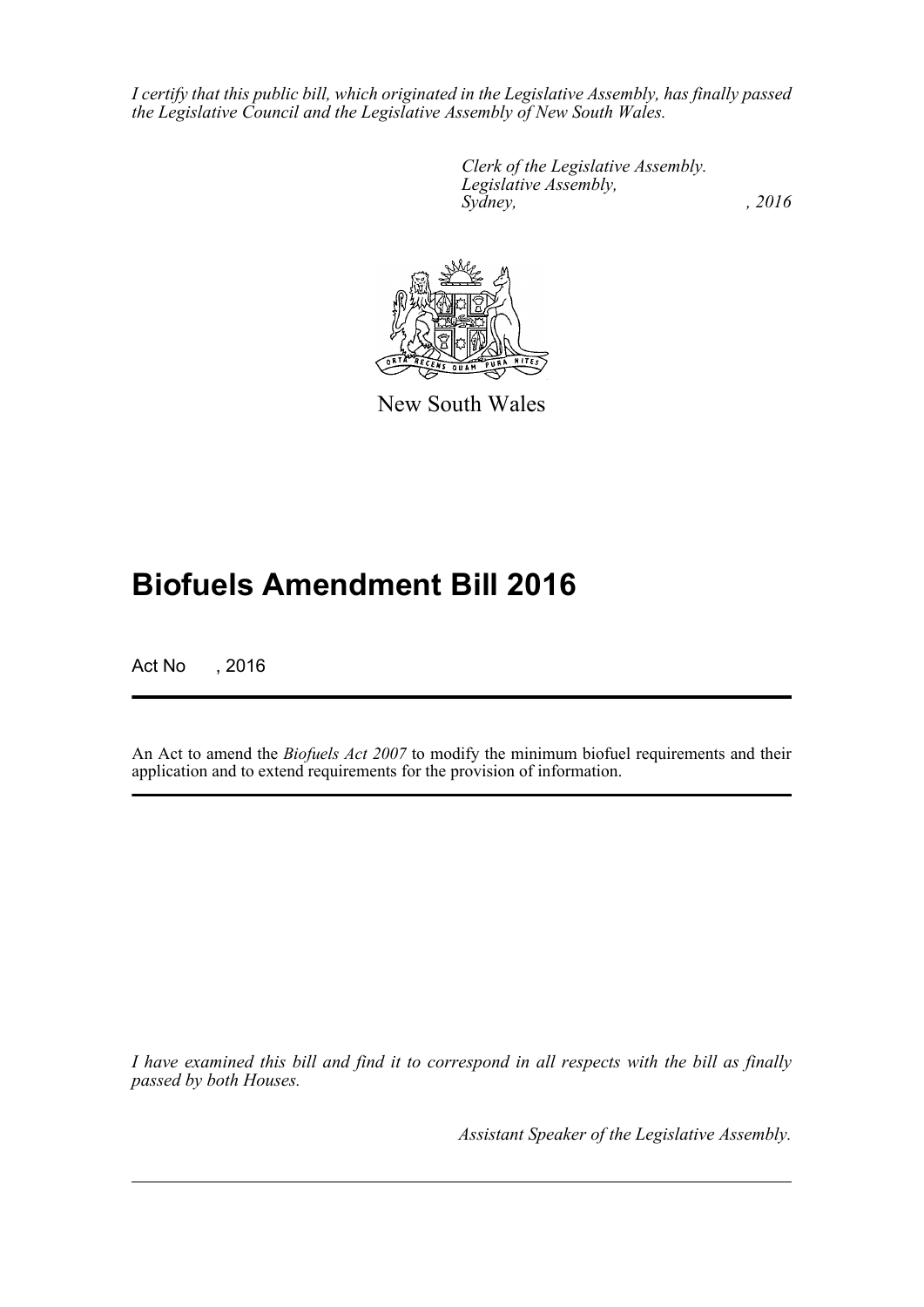*I certify that this public bill, which originated in the Legislative Assembly, has finally passed the Legislative Council and the Legislative Assembly of New South Wales.*

> *Clerk of the Legislative Assembly. Legislative Assembly, Sydney,* , 2016



New South Wales

# **Biofuels Amendment Bill 2016**

Act No , 2016

An Act to amend the *Biofuels Act 2007* to modify the minimum biofuel requirements and their application and to extend requirements for the provision of information.

*I have examined this bill and find it to correspond in all respects with the bill as finally passed by both Houses.*

*Assistant Speaker of the Legislative Assembly.*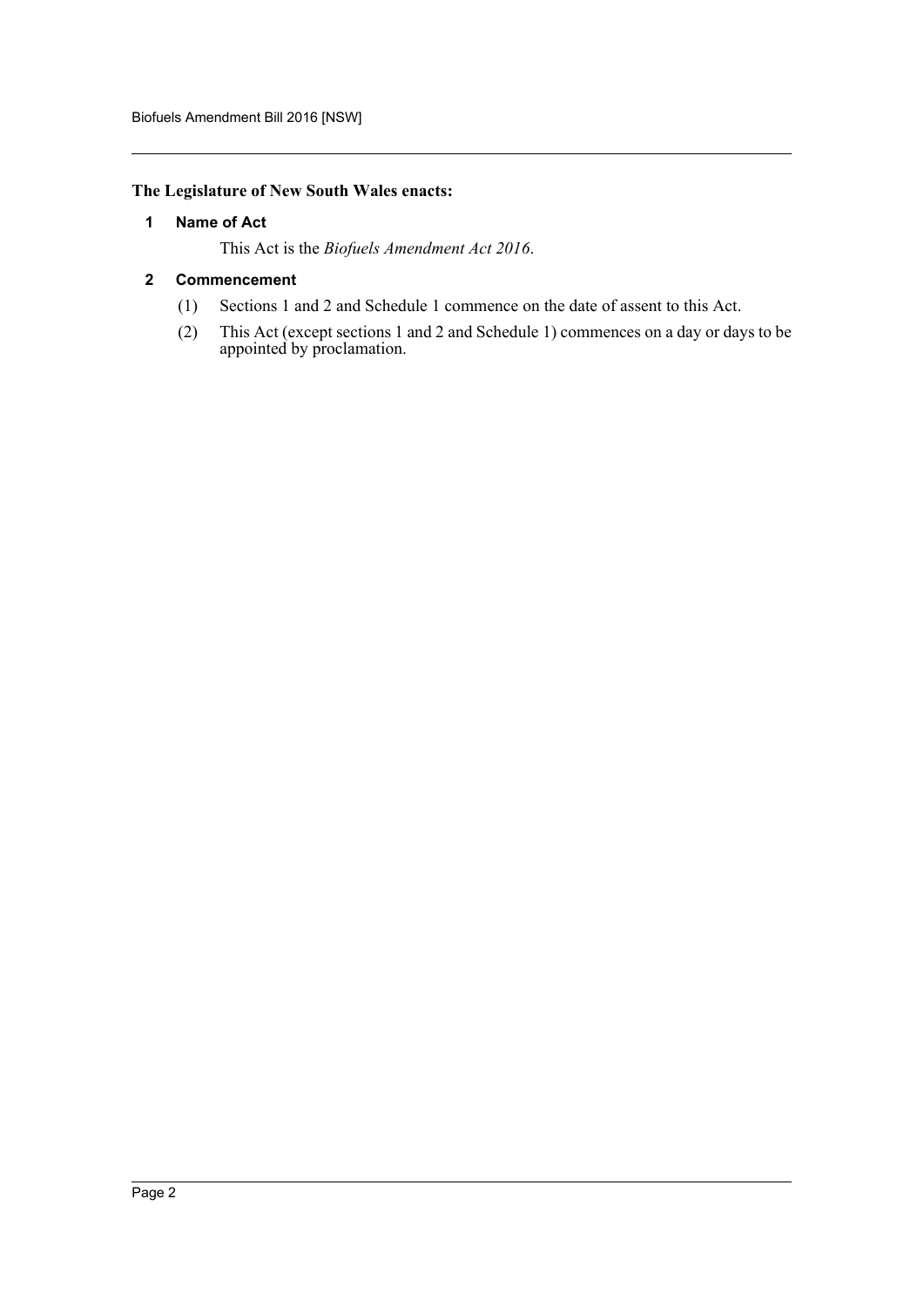#### <span id="page-2-0"></span>**The Legislature of New South Wales enacts:**

#### **1 Name of Act**

This Act is the *Biofuels Amendment Act 2016*.

#### <span id="page-2-1"></span>**2 Commencement**

- (1) Sections 1 and 2 and Schedule 1 commence on the date of assent to this Act.
- (2) This Act (except sections 1 and 2 and Schedule 1) commences on a day or days to be appointed by proclamation.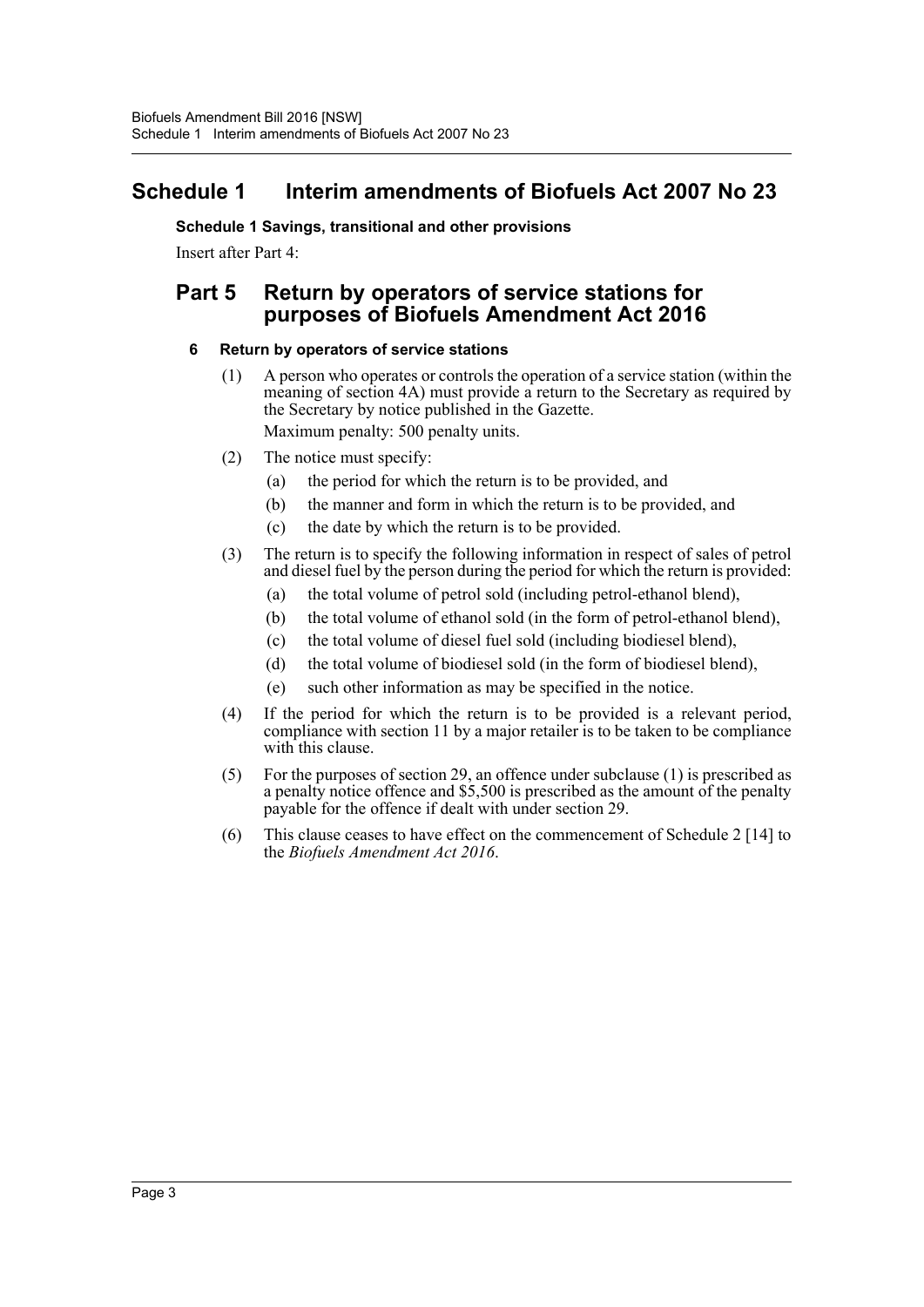## <span id="page-3-0"></span>**Schedule 1 Interim amendments of Biofuels Act 2007 No 23**

**Schedule 1 Savings, transitional and other provisions** Insert after Part 4:

## **Part 5 Return by operators of service stations for purposes of Biofuels Amendment Act 2016**

#### **6 Return by operators of service stations**

- (1) A person who operates or controls the operation of a service station (within the meaning of section 4A) must provide a return to the Secretary as required by the Secretary by notice published in the Gazette. Maximum penalty: 500 penalty units.
- (2) The notice must specify:
	- (a) the period for which the return is to be provided, and
	- (b) the manner and form in which the return is to be provided, and
	- (c) the date by which the return is to be provided.
- (3) The return is to specify the following information in respect of sales of petrol and diesel fuel by the person during the period for which the return is provided:
	- (a) the total volume of petrol sold (including petrol-ethanol blend),
	- (b) the total volume of ethanol sold (in the form of petrol-ethanol blend),
	- (c) the total volume of diesel fuel sold (including biodiesel blend),
	- (d) the total volume of biodiesel sold (in the form of biodiesel blend),
	- (e) such other information as may be specified in the notice.
- (4) If the period for which the return is to be provided is a relevant period, compliance with section 11 by a major retailer is to be taken to be compliance with this clause.
- (5) For the purposes of section 29, an offence under subclause (1) is prescribed as a penalty notice offence and \$5,500 is prescribed as the amount of the penalty payable for the offence if dealt with under section 29.
- (6) This clause ceases to have effect on the commencement of Schedule 2 [14] to the *Biofuels Amendment Act 2016*.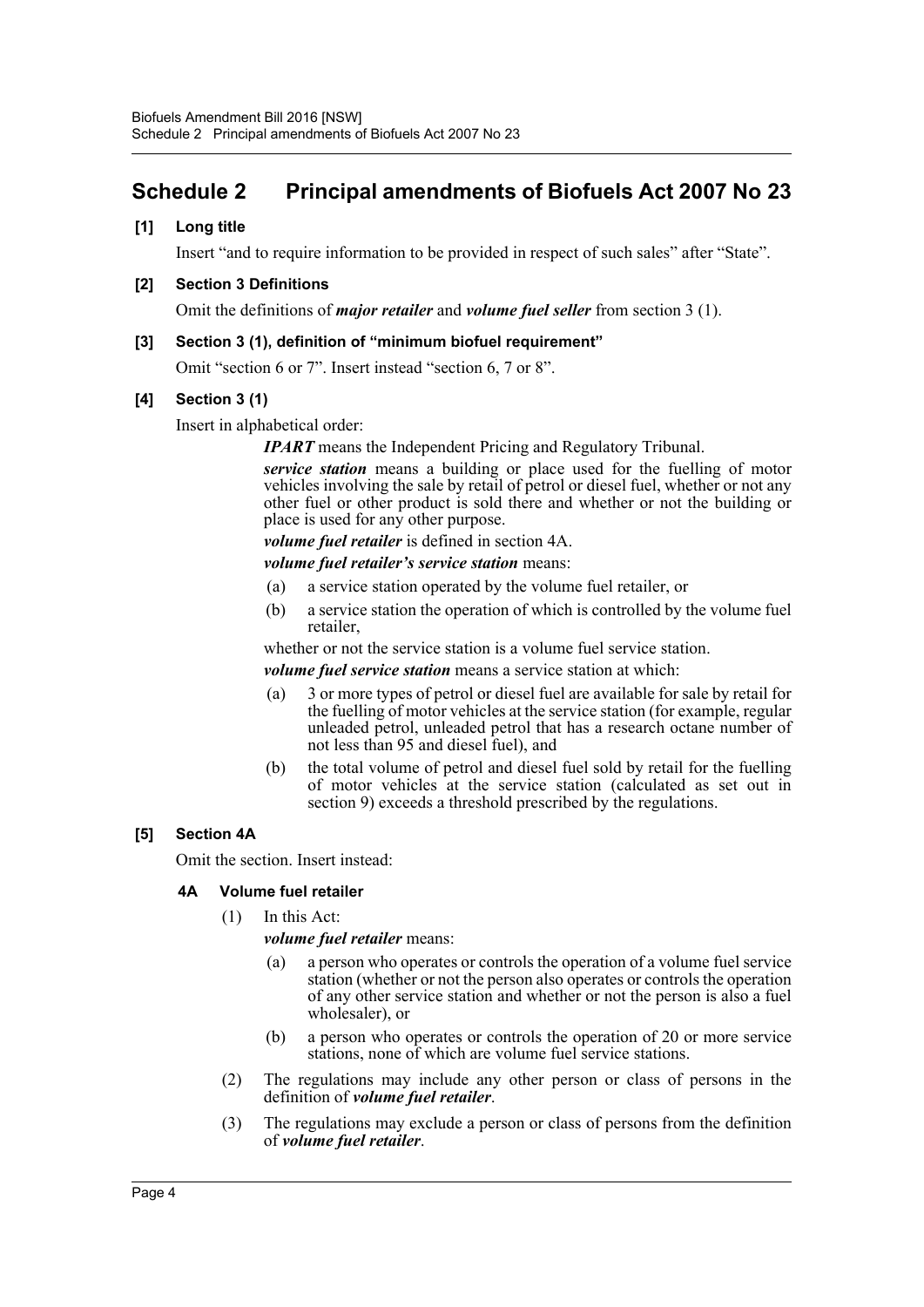## <span id="page-4-0"></span>**Schedule 2 Principal amendments of Biofuels Act 2007 No 23**

#### **[1] Long title**

Insert "and to require information to be provided in respect of such sales" after "State".

#### **[2] Section 3 Definitions**

Omit the definitions of *major retailer* and *volume fuel seller* from section 3 (1).

#### **[3] Section 3 (1), definition of "minimum biofuel requirement"**

Omit "section 6 or 7". Insert instead "section 6, 7 or 8".

#### **[4] Section 3 (1)**

Insert in alphabetical order:

*IPART* means the Independent Pricing and Regulatory Tribunal.

*service station* means a building or place used for the fuelling of motor vehicles involving the sale by retail of petrol or diesel fuel, whether or not any other fuel or other product is sold there and whether or not the building or place is used for any other purpose.

*volume fuel retailer* is defined in section 4A.

*volume fuel retailer's service station* means:

- (a) a service station operated by the volume fuel retailer, or
- (b) a service station the operation of which is controlled by the volume fuel retailer,

whether or not the service station is a volume fuel service station.

*volume fuel service station* means a service station at which:

- (a) 3 or more types of petrol or diesel fuel are available for sale by retail for the fuelling of motor vehicles at the service station (for example, regular unleaded petrol, unleaded petrol that has a research octane number of not less than 95 and diesel fuel), and
- (b) the total volume of petrol and diesel fuel sold by retail for the fuelling of motor vehicles at the service station (calculated as set out in section 9) exceeds a threshold prescribed by the regulations.

#### **[5] Section 4A**

Omit the section. Insert instead:

#### **4A Volume fuel retailer**

(1) In this Act:

*volume fuel retailer* means:

- (a) a person who operates or controls the operation of a volume fuel service station (whether or not the person also operates or controls the operation of any other service station and whether or not the person is also a fuel wholesaler), or
- (b) a person who operates or controls the operation of 20 or more service stations, none of which are volume fuel service stations.
- (2) The regulations may include any other person or class of persons in the definition of *volume fuel retailer*.
- (3) The regulations may exclude a person or class of persons from the definition of *volume fuel retailer*.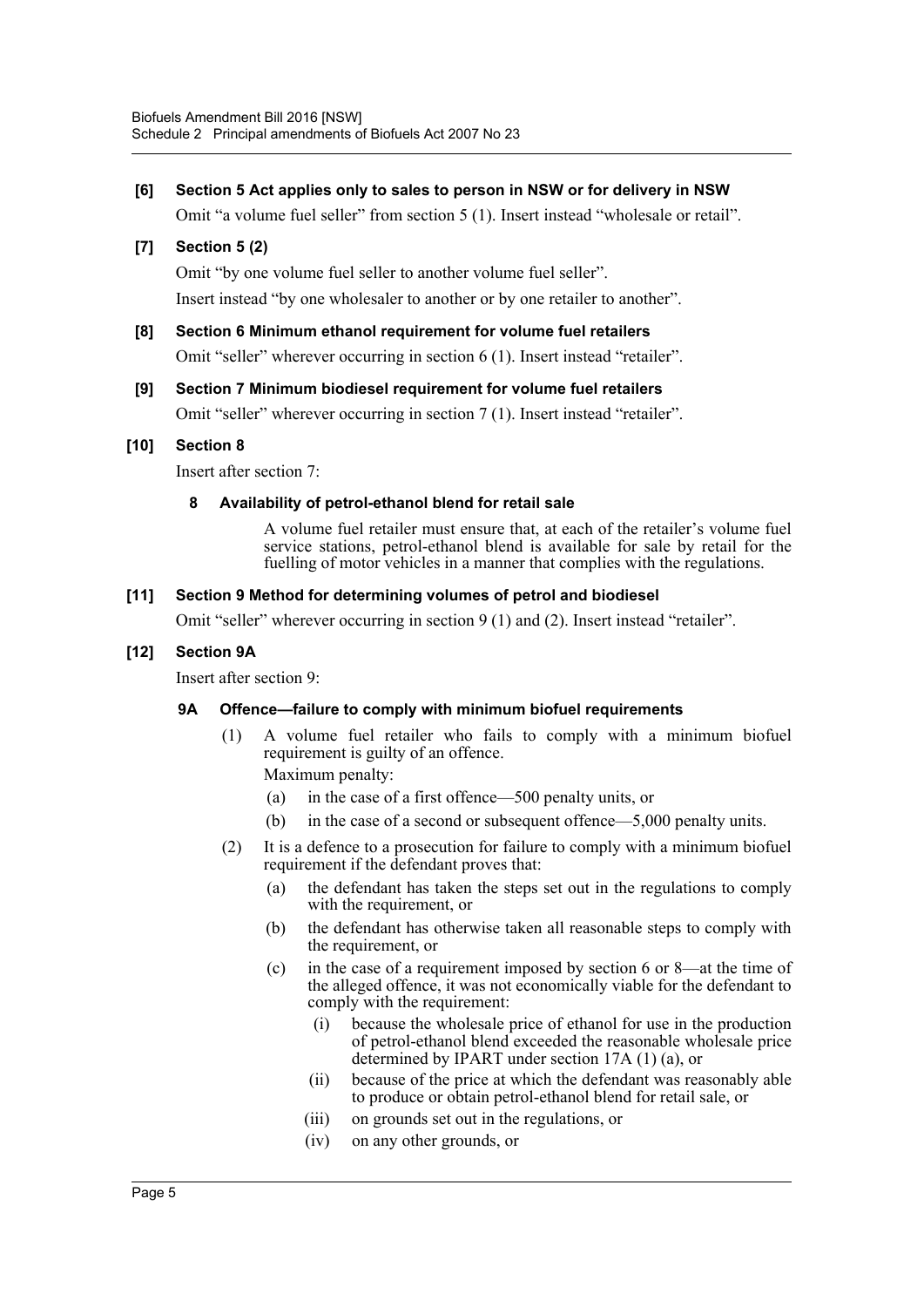#### **[6] Section 5 Act applies only to sales to person in NSW or for delivery in NSW**

Omit "a volume fuel seller" from section 5 (1). Insert instead "wholesale or retail".

#### **[7] Section 5 (2)**

Omit "by one volume fuel seller to another volume fuel seller".

Insert instead "by one wholesaler to another or by one retailer to another".

## **[8] Section 6 Minimum ethanol requirement for volume fuel retailers**

Omit "seller" wherever occurring in section 6 (1). Insert instead "retailer".

#### **[9] Section 7 Minimum biodiesel requirement for volume fuel retailers**

Omit "seller" wherever occurring in section 7 (1). Insert instead "retailer".

#### **[10] Section 8**

Insert after section 7:

#### **8 Availability of petrol-ethanol blend for retail sale**

A volume fuel retailer must ensure that, at each of the retailer's volume fuel service stations, petrol-ethanol blend is available for sale by retail for the fuelling of motor vehicles in a manner that complies with the regulations.

#### **[11] Section 9 Method for determining volumes of petrol and biodiesel**

Omit "seller" wherever occurring in section 9 (1) and (2). Insert instead "retailer".

#### **[12] Section 9A**

Insert after section 9:

#### **9A Offence—failure to comply with minimum biofuel requirements**

(1) A volume fuel retailer who fails to comply with a minimum biofuel requirement is guilty of an offence.

Maximum penalty:

- (a) in the case of a first offence—500 penalty units, or
- (b) in the case of a second or subsequent offence—5,000 penalty units.
- (2) It is a defence to a prosecution for failure to comply with a minimum biofuel requirement if the defendant proves that:
	- (a) the defendant has taken the steps set out in the regulations to comply with the requirement, or
	- (b) the defendant has otherwise taken all reasonable steps to comply with the requirement, or
	- (c) in the case of a requirement imposed by section 6 or 8—at the time of the alleged offence, it was not economically viable for the defendant to comply with the requirement:
		- (i) because the wholesale price of ethanol for use in the production of petrol-ethanol blend exceeded the reasonable wholesale price determined by IPART under section 17A (1) (a), or
		- (ii) because of the price at which the defendant was reasonably able to produce or obtain petrol-ethanol blend for retail sale, or
		- (iii) on grounds set out in the regulations, or
		- (iv) on any other grounds, or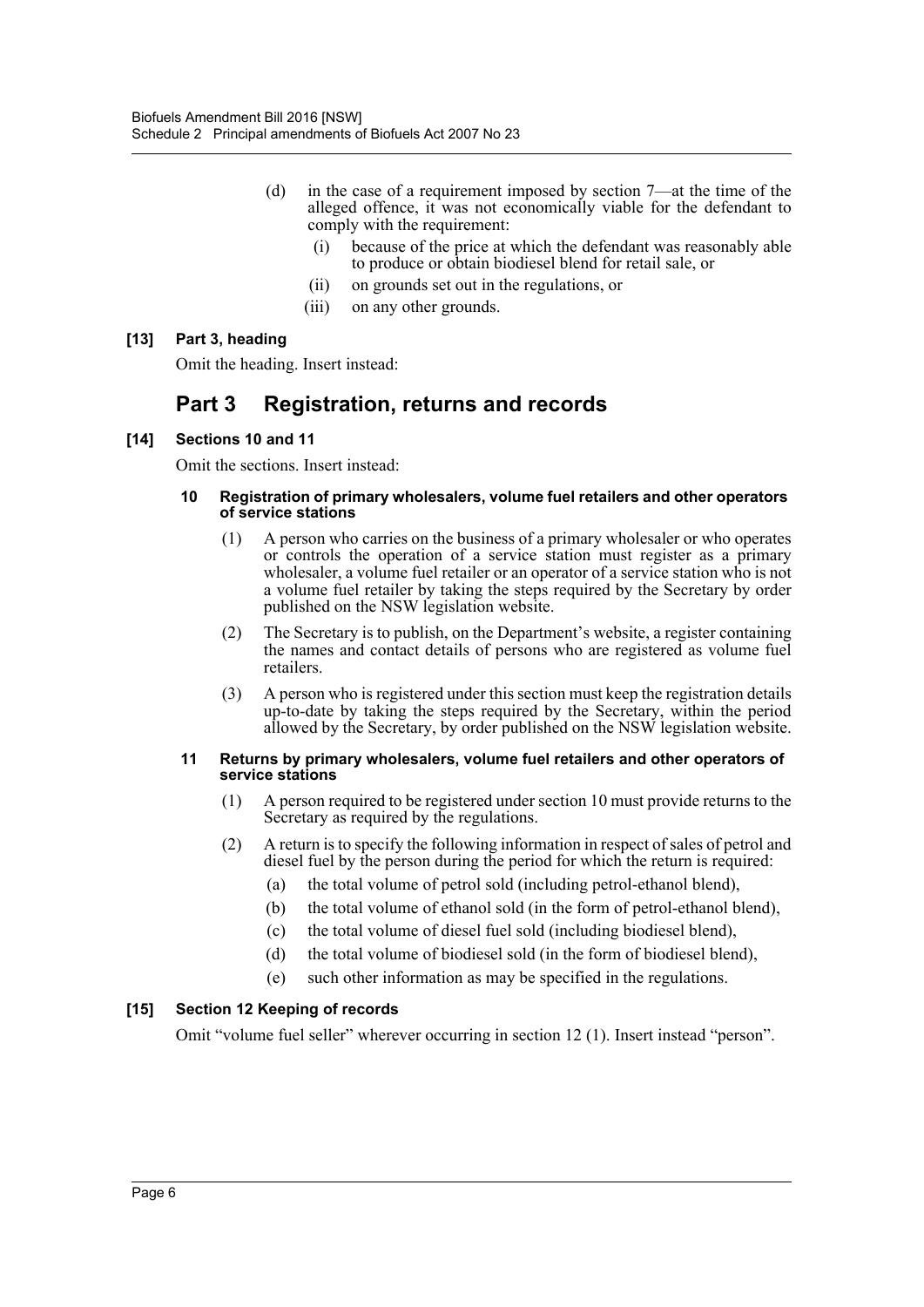- (d) in the case of a requirement imposed by section 7—at the time of the alleged offence, it was not economically viable for the defendant to comply with the requirement:
	- (i) because of the price at which the defendant was reasonably able to produce or obtain biodiesel blend for retail sale, or
	- (ii) on grounds set out in the regulations, or
	- (iii) on any other grounds.

#### **[13] Part 3, heading**

Omit the heading. Insert instead:

## **Part 3 Registration, returns and records**

#### **[14] Sections 10 and 11**

Omit the sections. Insert instead:

#### **10 Registration of primary wholesalers, volume fuel retailers and other operators of service stations**

- (1) A person who carries on the business of a primary wholesaler or who operates or controls the operation of a service station must register as a primary wholesaler, a volume fuel retailer or an operator of a service station who is not a volume fuel retailer by taking the steps required by the Secretary by order published on the NSW legislation website.
- (2) The Secretary is to publish, on the Department's website, a register containing the names and contact details of persons who are registered as volume fuel retailers.
- (3) A person who is registered under this section must keep the registration details up-to-date by taking the steps required by the Secretary, within the period allowed by the Secretary, by order published on the NSW legislation website.

#### **11 Returns by primary wholesalers, volume fuel retailers and other operators of service stations**

- (1) A person required to be registered under section 10 must provide returns to the Secretary as required by the regulations.
- (2) A return is to specify the following information in respect of sales of petrol and diesel fuel by the person during the period for which the return is required:
	- (a) the total volume of petrol sold (including petrol-ethanol blend),
	- (b) the total volume of ethanol sold (in the form of petrol-ethanol blend),
	- (c) the total volume of diesel fuel sold (including biodiesel blend),
	- (d) the total volume of biodiesel sold (in the form of biodiesel blend),
	- (e) such other information as may be specified in the regulations.

#### **[15] Section 12 Keeping of records**

Omit "volume fuel seller" wherever occurring in section 12 (1). Insert instead "person".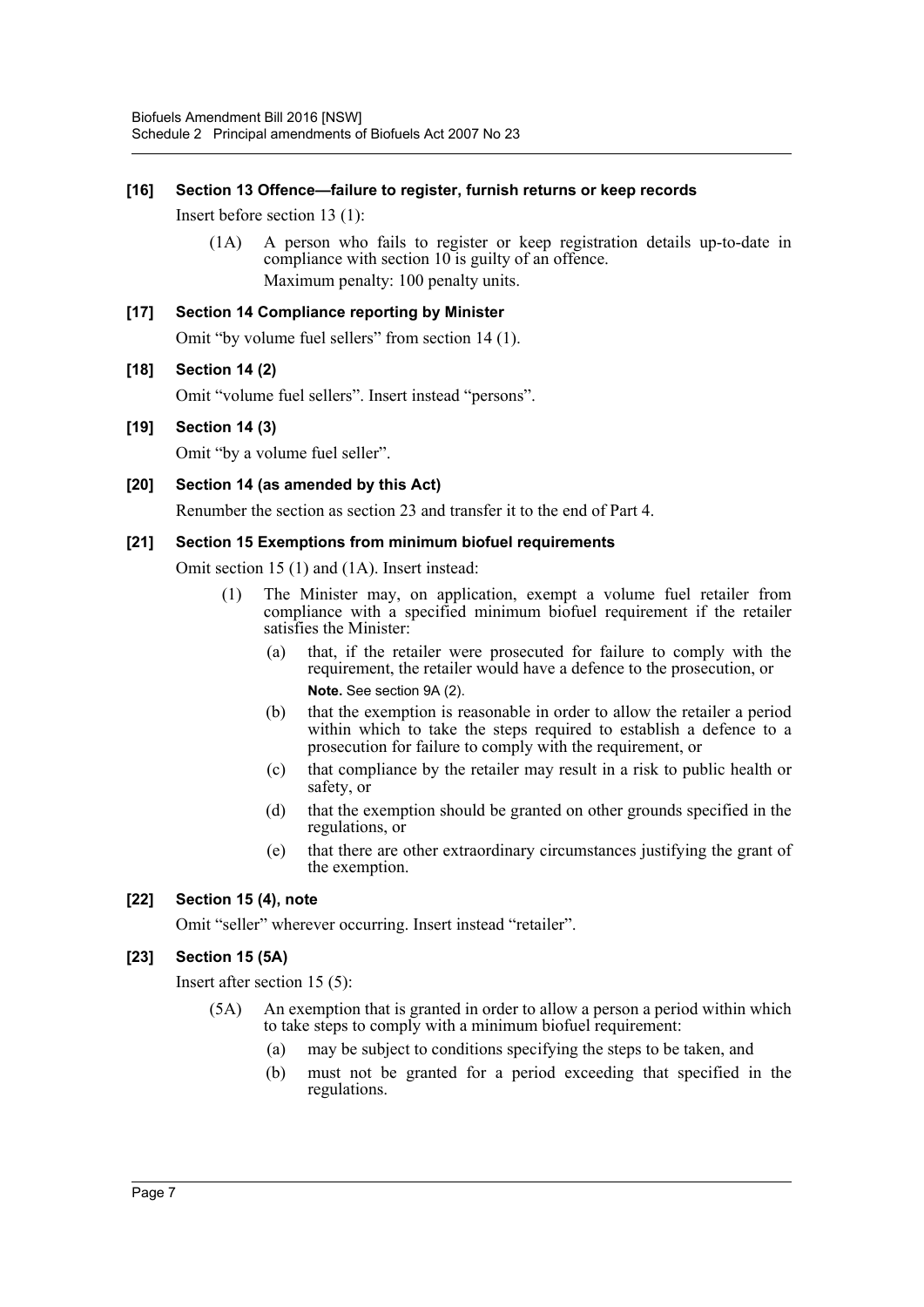#### **[16] Section 13 Offence—failure to register, furnish returns or keep records**

Insert before section 13 (1):

(1A) A person who fails to register or keep registration details up-to-date in compliance with section 10 is guilty of an offence. Maximum penalty: 100 penalty units.

## **[17] Section 14 Compliance reporting by Minister** Omit "by volume fuel sellers" from section 14 (1).

#### **[18] Section 14 (2)**

Omit "volume fuel sellers". Insert instead "persons".

#### **[19] Section 14 (3)**

Omit "by a volume fuel seller".

#### **[20] Section 14 (as amended by this Act)**

Renumber the section as section 23 and transfer it to the end of Part 4.

#### **[21] Section 15 Exemptions from minimum biofuel requirements**

Omit section 15 (1) and (1A). Insert instead:

- (1) The Minister may, on application, exempt a volume fuel retailer from compliance with a specified minimum biofuel requirement if the retailer satisfies the Minister:
	- (a) that, if the retailer were prosecuted for failure to comply with the requirement, the retailer would have a defence to the prosecution, or **Note.** See section 9A (2).
	- (b) that the exemption is reasonable in order to allow the retailer a period within which to take the steps required to establish a defence to a prosecution for failure to comply with the requirement, or
	- (c) that compliance by the retailer may result in a risk to public health or safety, or
	- (d) that the exemption should be granted on other grounds specified in the regulations, or
	- (e) that there are other extraordinary circumstances justifying the grant of the exemption.

#### **[22] Section 15 (4), note**

Omit "seller" wherever occurring. Insert instead "retailer".

#### **[23] Section 15 (5A)**

Insert after section 15 (5):

- (5A) An exemption that is granted in order to allow a person a period within which to take steps to comply with a minimum biofuel requirement:
	- (a) may be subject to conditions specifying the steps to be taken, and
	- (b) must not be granted for a period exceeding that specified in the regulations.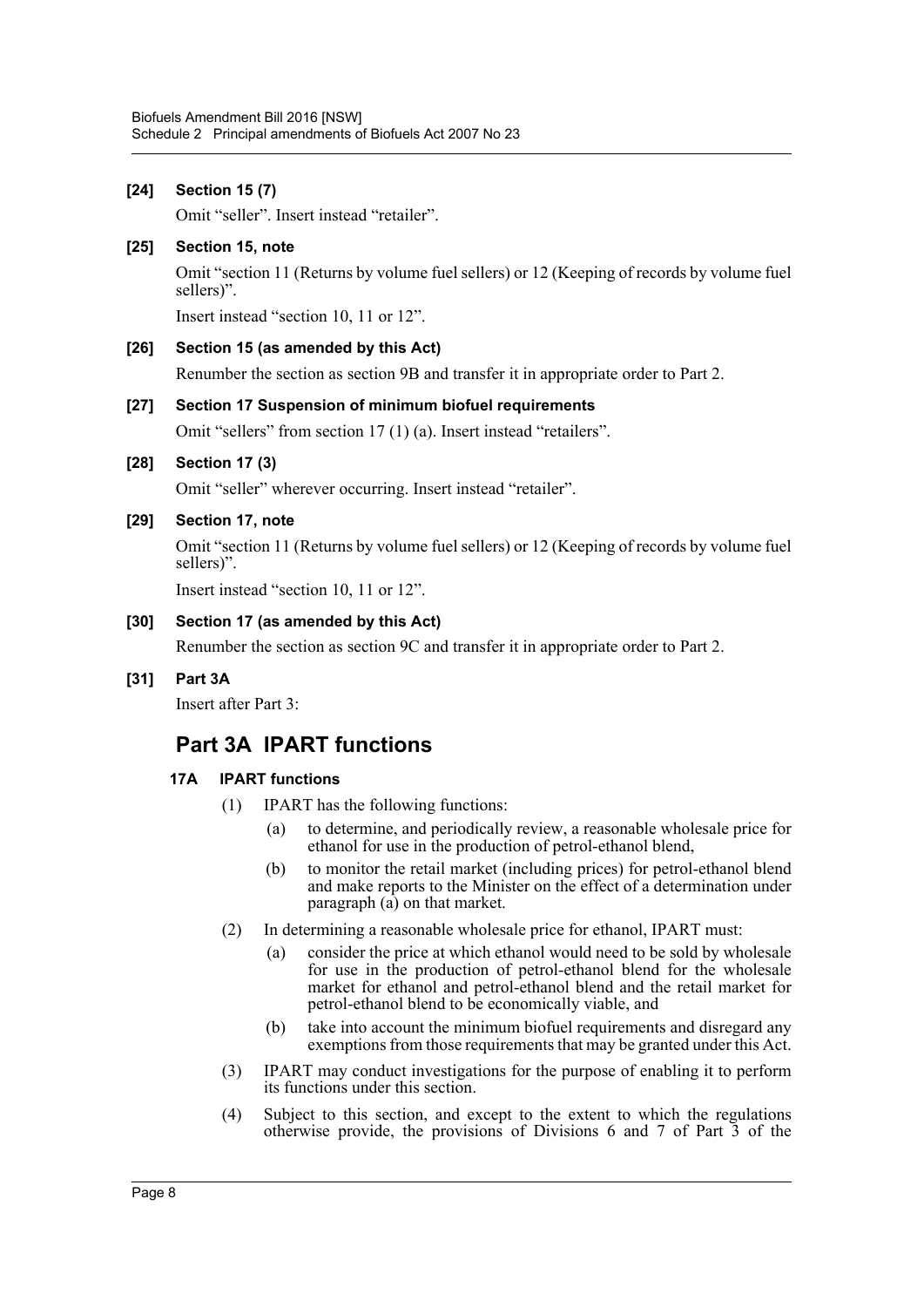## **[24] Section 15 (7)** Omit "seller". Insert instead "retailer". **[25] Section 15, note** Omit "section 11 (Returns by volume fuel sellers) or 12 (Keeping of records by volume fuel sellers)". Insert instead "section 10, 11 or 12". **[26] Section 15 (as amended by this Act)** Renumber the section as section 9B and transfer it in appropriate order to Part 2. **[27] Section 17 Suspension of minimum biofuel requirements** Omit "sellers" from section 17 (1) (a). Insert instead "retailers". **[28] Section 17 (3)** Omit "seller" wherever occurring. Insert instead "retailer". **[29] Section 17, note** Omit "section 11 (Returns by volume fuel sellers) or 12 (Keeping of records by volume fuel sellers)". Insert instead "section 10, 11 or 12". **[30] Section 17 (as amended by this Act)** Renumber the section as section 9C and transfer it in appropriate order to Part 2. **[31] Part 3A** Insert after Part 3: **Part 3A IPART functions 17A IPART functions** (1) IPART has the following functions:

- (a) to determine, and periodically review, a reasonable wholesale price for ethanol for use in the production of petrol-ethanol blend,
- (b) to monitor the retail market (including prices) for petrol-ethanol blend and make reports to the Minister on the effect of a determination under paragraph (a) on that market.
- (2) In determining a reasonable wholesale price for ethanol, IPART must:
	- (a) consider the price at which ethanol would need to be sold by wholesale for use in the production of petrol-ethanol blend for the wholesale market for ethanol and petrol-ethanol blend and the retail market for petrol-ethanol blend to be economically viable, and
	- (b) take into account the minimum biofuel requirements and disregard any exemptions from those requirements that may be granted under this Act.
- (3) IPART may conduct investigations for the purpose of enabling it to perform its functions under this section.
- (4) Subject to this section, and except to the extent to which the regulations otherwise provide, the provisions of Divisions 6 and 7 of Part 3 of the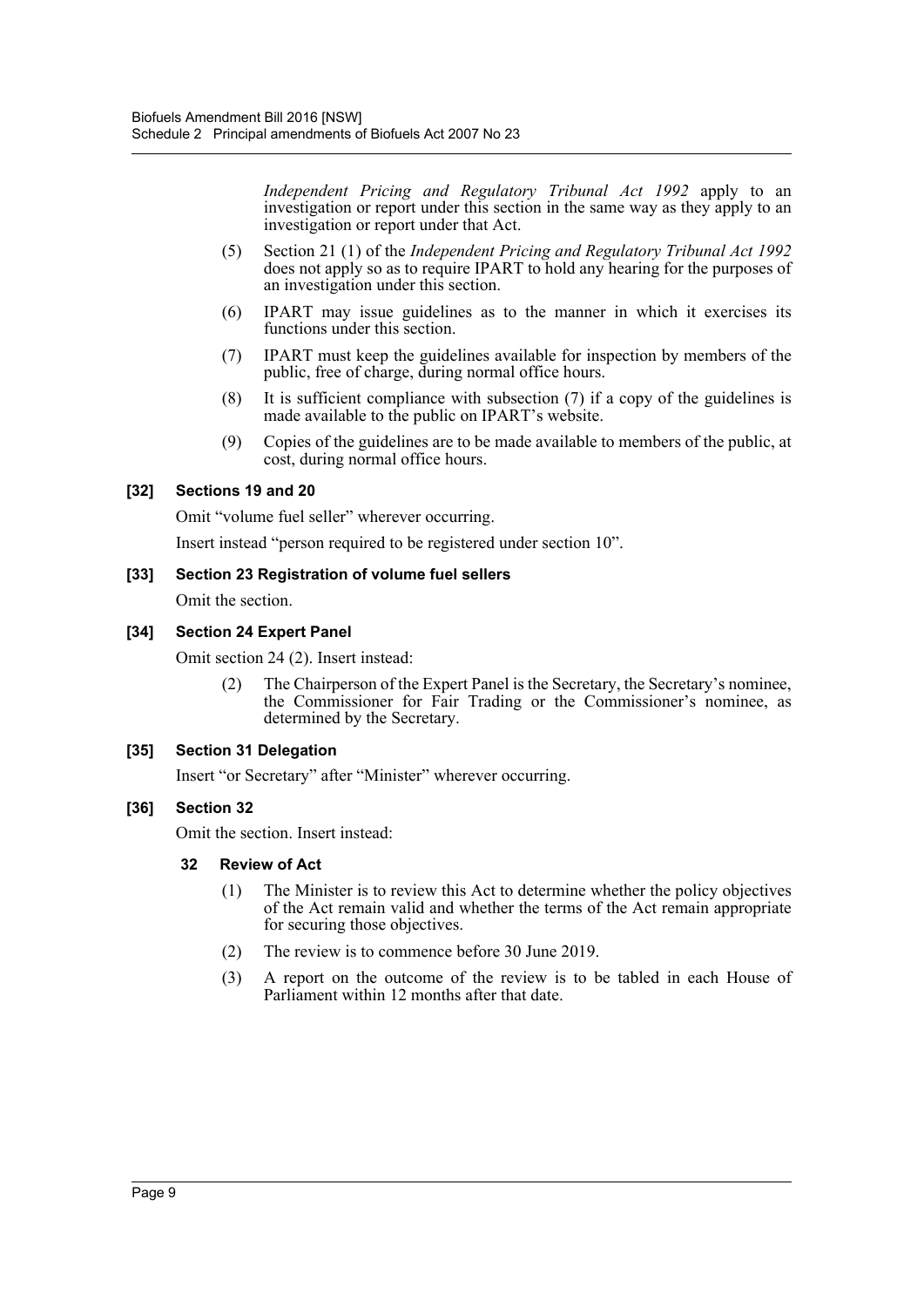*Independent Pricing and Regulatory Tribunal Act 1992* apply to an investigation or report under this section in the same way as they apply to an investigation or report under that Act.

- (5) Section 21 (1) of the *Independent Pricing and Regulatory Tribunal Act 1992* does not apply so as to require IPART to hold any hearing for the purposes of an investigation under this section.
- (6) IPART may issue guidelines as to the manner in which it exercises its functions under this section.
- (7) IPART must keep the guidelines available for inspection by members of the public, free of charge, during normal office hours.
- (8) It is sufficient compliance with subsection (7) if a copy of the guidelines is made available to the public on IPART's website.
- (9) Copies of the guidelines are to be made available to members of the public, at cost, during normal office hours.

#### **[32] Sections 19 and 20**

Omit "volume fuel seller" wherever occurring.

Insert instead "person required to be registered under section 10".

#### **[33] Section 23 Registration of volume fuel sellers**

Omit the section.

#### **[34] Section 24 Expert Panel**

Omit section 24 (2). Insert instead:

(2) The Chairperson of the Expert Panel is the Secretary, the Secretary's nominee, the Commissioner for Fair Trading or the Commissioner's nominee, as determined by the Secretary.

#### **[35] Section 31 Delegation**

Insert "or Secretary" after "Minister" wherever occurring.

#### **[36] Section 32**

Omit the section. Insert instead:

#### **32 Review of Act**

- (1) The Minister is to review this Act to determine whether the policy objectives of the Act remain valid and whether the terms of the Act remain appropriate for securing those objectives.
- (2) The review is to commence before 30 June 2019.
- (3) A report on the outcome of the review is to be tabled in each House of Parliament within 12 months after that date.